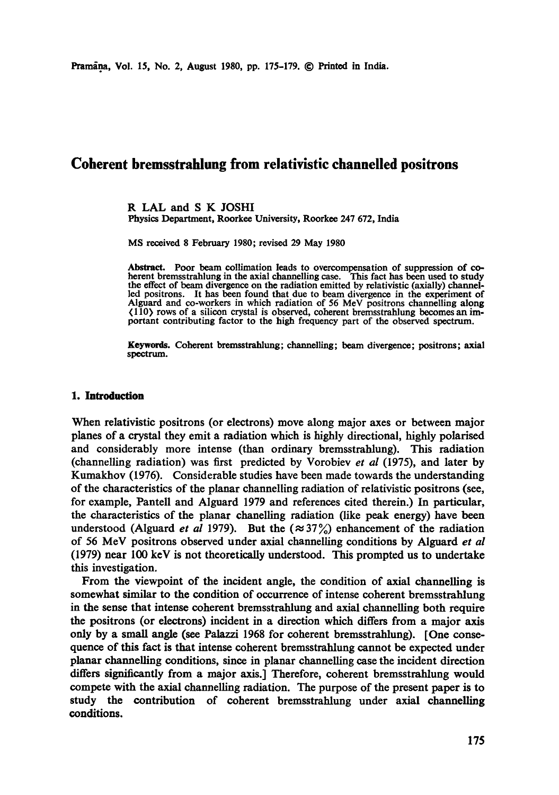# **Coherent bremsstrahlung from relativistic channelled positrons**

R LAL and S K JOSHI Physics Department, Roorkee University, Roorkee 247 672, India

MS received 8 February 1980; revised 29 May 1980

Abstract. Poor beam collimation leads to overcompensation of suppression of coherent bremsstrahlung in the axial channelling case. This fact has been used to study the effect of beam divergence on the radiation emitted by relativistic (axially) channelled positrons. It has been found that due to beam divergence in the experiment of Alguard and co-workers in which radiation of 56 MeV positrons channelling along (110) rows of a silicon crystal is observed, coherent bremsstrahlung becomes an important contributing factor to the high frequency part of the observed spectrum.

Keywords. Coherent bremsstrahlung; channelling; beam divergence; positrons; axial spectrum.

## **1. Introduction**

When relativistic positrons (or electrons) move along major axes or between major planes of a crystal they emit a radiation which is highly directional, highly polarised and considerably more intense (than ordinary bremsstrahlung). This radiation (channelling radiation) was first predicted by Vorobiev *et al* (1975), and later by Kumakhov (1976). Considerable studies have been made towards the understanding of the characteristics of the planar channelling radiation of relativistic positrons (see, for example, Pantell and Alguard 1979 and references cited therein.) In particular, the characteristics of the planar chanelling radiation (like peak energy) have been understood (Alguard *et al* 1979). But the  $(\approx 37\%)$  enhancement of the radiation of 56 MeV positrons observed under axial channelling conditions by Alguard *et al*  (1979) near 100 keV is not theoretically understood. This prompted us to undertake this investigation.

From the viewpoint of the incident angle, the condition of axial channelling is somewhat similar to the condition of occurrence of intense coherent bremsstrahlung in the sense that intense coherent bremsstrahlung and axial channelling both require the positrons (or electrons) incident in a direction which differs from a major axis only by a small angle (see Palazzi 1968 for coherent bremsstrahlung). [One consequence of this fact is that intense coherent bremsstrahlung cannot be expected under planar channelling conditions, since in planar channelling case the incident direction differs significantly from a major axis.] Therefore, coherent bremsstrahlung would compete with the axial channelling radiation. The purpose of the present paper is to study the contribution of coherent bremsstrahlung under axial channelling conditions.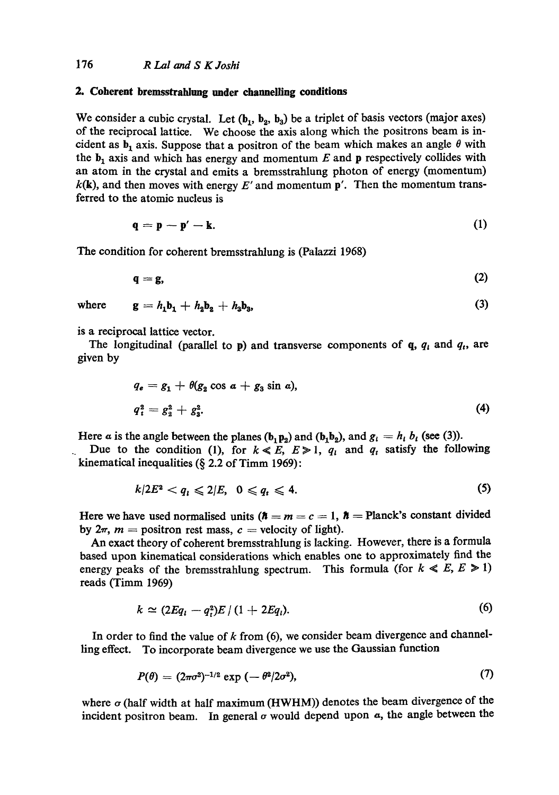## **2. Coherent bremsstrahlung under channelling conditions**

We consider a cubic crystal. Let  $(b_1, b_2, b_3)$  be a triplet of basis vectors (major axes) of the reciprocal lattice. We choose the axis along which the positrons beam is incident as  $b_1$  axis. Suppose that a positron of the beam which makes an angle  $\theta$  with the  $b_1$  axis and which has energy and momentum E and p respectively collides with an atom in the crystal and emits a bremsstrahlung photon of energy (momentum)  $k(\mathbf{k})$ , and then moves with energy E' and momentum p'. Then the momentum transferred to the atomic nucleus is

$$
\mathbf{q} = \mathbf{p} - \mathbf{p}' - \mathbf{k}.\tag{1}
$$

The condition for coherent bremsstrahlung is (Palazzi 1968)

$$
\mathbf{q} = \mathbf{g},\tag{2}
$$

where  $g = h_1 b_1 + h_2 b_2 + h_3 b_3$ , (3)

is a reciprocal lattice vector.

The longitudinal (parallel to  $p$ ) and transverse components of  $q$ ,  $q_i$  and  $q_i$ , are given by

$$
q_e = g_1 + \theta(g_2 \cos a + g_3 \sin a),
$$
  
\n
$$
q_i^2 = g_2^2 + g_3^2.
$$
\n(4)

Here a is the angle between the planes  $(b_1p_2)$  and  $(b_1b_2)$ , and  $g_i = h_i b_i$  (see (3)).

Due to the condition (1), for  $k \ll E$ ,  $E \gg 1$ ,  $q_i$  and  $q_i$  satisfy the following kinematical inequalities (§ 2.2 of Timm 1969):

$$
k/2E^2 < q_l \leqslant 2/E, \quad 0 \leqslant q_t \leqslant 4. \tag{5}
$$

Here we have used normalised units  $(h = m = c = 1, h =$  Planck's constant divided by  $2\pi$ ,  $m =$  positron rest mass,  $c =$  velocity of light).

An exact theory of coherent bremsstrahlung is lacking. However, there is a formula based upon kinematical considerations which enables one to approximately find the energy peaks of the bremsstrahlung spectrum. This formula (for  $k \ll E, E \ge 1$ ) reads (Timm 1969)

$$
k \simeq (2Eq_i - q_i^2)E/(1 + 2Eq_i). \tag{6}
$$

In order to find the value of  $k$  from (6), we consider beam divergence and channelling effect. To incorporate beam divergence we use the Gaussian function

$$
P(\theta) = (2\pi\sigma^2)^{-1/2} \exp(-\theta^2/2\sigma^2), \tag{7}
$$

where  $\sigma$  (half width at half maximum (HWHM)) denotes the beam divergence of the incident positron beam. In general  $\sigma$  would depend upon  $\alpha$ , the angle between the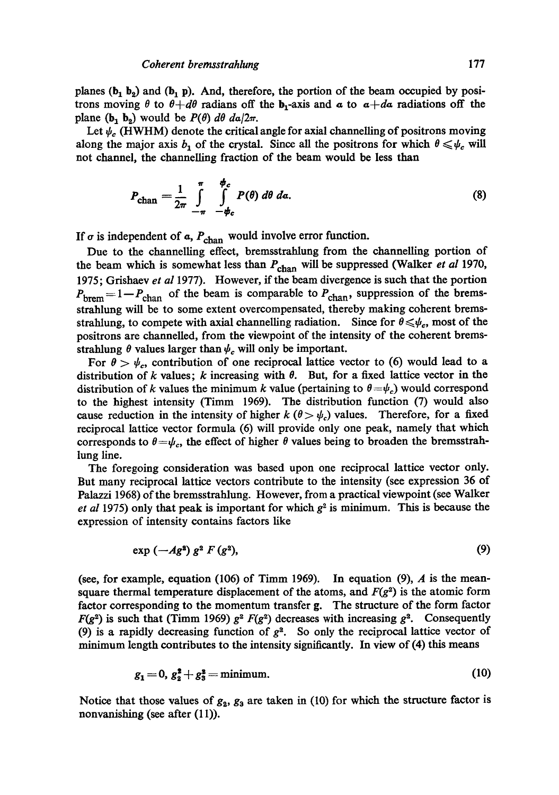planes ( $b_1$   $b_2$ ) and ( $b_1$  p). And, therefore, the portion of the beam occupied by positrons moving  $\theta$  to  $\theta + d\theta$  radians off the b<sub>1</sub>-axis and  $\alpha$  to  $\alpha + d\alpha$  radiations off the plane ( $b_1$   $b_2$ ) would be  $P(\theta)$   $d\theta$   $da/2\pi$ .

Let  $\psi_c$  (HWHM) denote the critical angle for axial channelling of positrons moving along the major axis  $b_1$  of the crystal. Since all the positrons for which  $\theta \leq \psi_c$  will not channel, the channelling fraction of the beam would be less than

$$
P_{\text{chan}} = \frac{1}{2\pi} \int_{-\pi}^{\pi} \int_{-\phi_c}^{\phi_c} P(\theta) \, d\theta \, d\alpha. \tag{8}
$$

If  $\sigma$  is independent of  $\alpha$ ,  $P_{\text{chan}}$  would involve error function.

Due to the channelling effect, bremsstrahlung from the channelling portion of the beam which is somewhat less than  $P_{\text{chan}}$  will be suppressed (Walker *et al* 1970, 1975; Grishaev *et al* 1977). However, if the beam divergence is such that the portion  $P_{\text{brem}} = 1-P_{\text{chan}}$  of the beam is comparable to  $P_{\text{chan}}$ , suppression of the bremsstrahlung will be to some extent overcompensated, thereby making coherent bremsstrahiung, to compete with axial channelling radiation. Since for  $\theta \leq \psi_c$ , most of the positrons are channelled, from the viewpoint of the intensity of the coherent bremsstrahlung  $\theta$  values larger than  $\psi_c$  will only be important.

For  $\theta > \psi_c$ , contribution of one reciprocal lattice vector to (6) would lead to a distribution of k values; k increasing with  $\theta$ . But, for a fixed lattice vector in the distribution of k values the minimum k value (pertaining to  $\theta = \psi_c$ ) would correspond to the highest intensity (Timm 1969). The distribution function (7) would also cause reduction in the intensity of higher  $k (\theta > \psi_c)$  values. Therefore, for a fixed reciprocal lattice vector formula (6) will provide only one peak, namely that which corresponds to  $\theta = \psi_c$ , the effect of higher  $\theta$  values being to broaden the bremsstrahlung line.

The foregoing consideration was based upon one reciprocal lattice vector only. But many reciprocal lattice vectors contribute to the intensity (see expression 36 of Palazzi 1968) of the bremsstrahlung. However, from a practical viewpoint (see Walker *et al* 1975) only that peak is important for which  $g<sup>2</sup>$  is minimum. This is because the expression of intensity contains factors like

$$
\exp\left(-A g^2\right) g^2 F\left(g^2\right),\tag{9}
$$

(see, for example, equation (106) of Timm 1969). In equation (9),  $\Lambda$  is the meansquare thermal temperature displacement of the atoms, and  $F(g^2)$  is the atomic form factor corresponding to the momentum transfer g. The structure of the form factor  $F(g^2)$  is such that (Timm 1969)  $g^2 F(g^2)$  decreases with increasing  $g^2$ . Consequently (9) is a rapidly decreasing function of  $g<sup>2</sup>$ . So only the reciprocal lattice vector of minimum length contributes to the intensity significantly. In view of (4) this means

$$
g_1 = 0, g_2^2 + g_3^2 = \text{minimum.} \tag{10}
$$

Notice that those values of  $g_2$ ,  $g_3$  are taken in (10) for which the structure factor is nonvanishing (see after  $(11)$ ).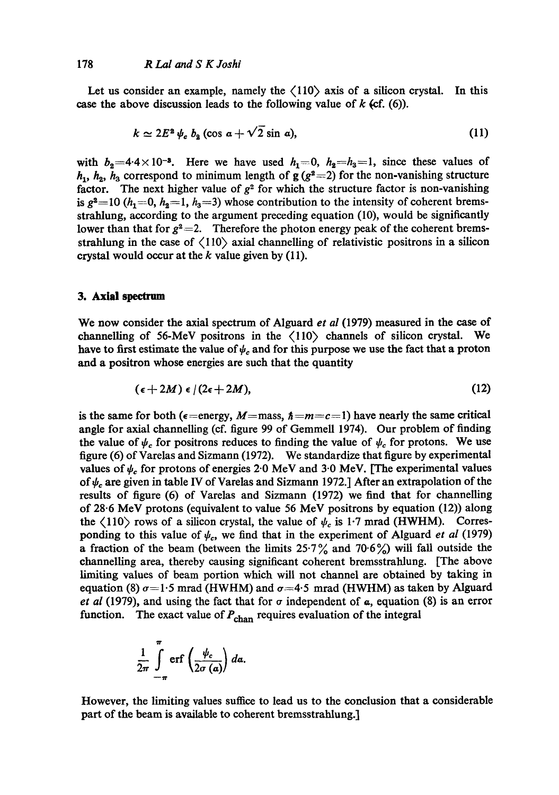Let us consider an example, namely the  $\langle 110 \rangle$  axis of a silicon crystal. In this case the above discussion leads to the following value of  $k$  (cf. (6)).

$$
k \simeq 2E^2 \psi_c b_2 \left(\cos a + \sqrt{2} \sin a\right),\tag{11}
$$

with  $b_2=4.4\times10^{-3}$ . Here we have used  $h_1=0$ ,  $h_2=h_3=1$ , since these values of  $h_1$ ,  $h_2$ ,  $h_3$  correspond to minimum length of g (g<sup>2</sup>=2) for the non-vanishing structure factor. The next higher value of  $g^2$  for which the structure factor is non-vanishing is  $g^2=10$  (h<sub>1</sub>=0, h<sub>2</sub>=1, h<sub>3</sub>=3) whose contribution to the intensity of coherent bremsstrahlung, according to the argument preceding equation (10), would be significantly lower than that for  $g^2 = 2$ . Therefore the photon energy peak of the coherent bremsstrahlung in the case of  $\langle 110 \rangle$  axial channelling of relativistic positrons in a silicon crystal would occur at the  $k$  value given by (11).

#### **3. Axial spectrum**

We now consider the axial spectrum of Alguard *et al* (1979) measured in the ease of channelling of 56-MeV positrons in the  $\langle 110 \rangle$  channels of silicon crystal. We have to first estimate the value of  $\psi_c$  and for this purpose we use the fact that a proton and a positron whose energies are such that the quantity

$$
(\epsilon+2M)\epsilon/(2\epsilon+2M),\qquad \qquad (12)
$$

is the same for both ( $\epsilon$ =energy, M=mass,  $\hbar = m = c = 1$ ) have nearly the same critical angle for axial channelling (ef. figure 99 of Gemmell 1974). Our problem of finding the value of  $\psi_c$  for positrons reduces to finding the value of  $\psi_c$  for protons. We use figure (6) of Varelas and Sizmann (1972). We standardize that figure by experimental values of  $\psi_c$  for protons of energies 2.0 MeV and 3.0 MeV. [The experimental values of  $\psi_c$  are given in table IV of Varelas and Sizmann 1972.] After an extrapolation of the results of figure (6) of Varelas and Sizmann (1972) we find that for channelling of 28-6 MeV protons (equivalent to value 56 MeV positrons by equation (12)) along the  $\langle 110 \rangle$  rows of a silicon crystal, the value of  $\psi_c$  is 1.7 mrad (HWHM). Corresponding to this value of  $\psi_c$ , we find that in the experiment of Alguard *et al* (1979) a fraction of the beam (between the limits  $25.7\%$  and  $70.6\%$ ) will fall outside the channelling area, thereby causing significant coherent bremsstrahlung. [The above Limiting values of beam portion which will not channel are obtained by taking in equation (8)  $\sigma$ =1.5 mrad (HWHM) and  $\sigma$ =4.5 mrad (HWHM) as taken by Alguard *et al* (1979), and using the fact that for  $\sigma$  independent of  $\alpha$ , equation (8) is an error function. The exact value of  $P_{\text{chan}}$  requires evaluation of the integral

$$
\frac{1}{2\pi}\int_{-\pi}^{\pi}\text{erf}\left(\frac{\psi_c}{2\sigma\left(a\right)}\right)da.
$$

However, the limiting values suffice to lead us to the conclusion that a considerable part of the beam is available to coherent bremsstrahlung.]